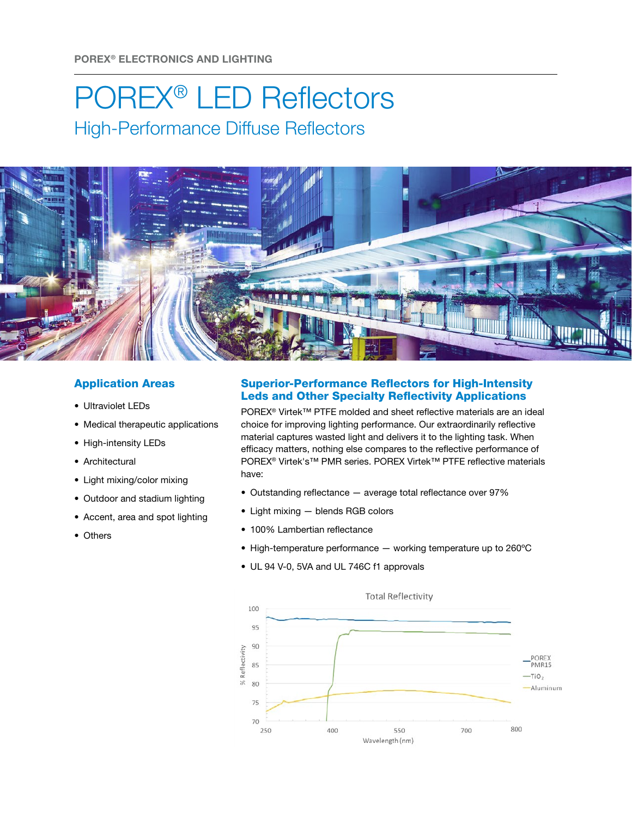# POREX® LED Reflectors High-Performance Diffuse Reflectors



### Application Areas

- Ultraviolet LEDs
- Medical therapeutic applications
- High-intensity LEDs
- Architectural
- Light mixing/color mixing
- Outdoor and stadium lighting
- Accent, area and spot lighting
- Others

### Superior-Performance Reflectors for High-Intensity Leds and Other Specialty Reflectivity Applications

POREX<sup>®</sup> Virtek™ PTFE molded and sheet reflective materials are an ideal choice for improving lighting performance. Our extraordinarily reflective material captures wasted light and delivers it to the lighting task. When efficacy matters, nothing else compares to the reflective performance of POREX® Virtek's™ PMR series. POREX Virtek™ PTFE reflective materials have:

- Outstanding reflectance average total reflectance over 97%
- Light mixing blends RGB colors
- 100% Lambertian reflectance
- High-temperature performance working temperature up to 260ºC
- UL 94 V-0, 5VA and UL 746C f1 approvals